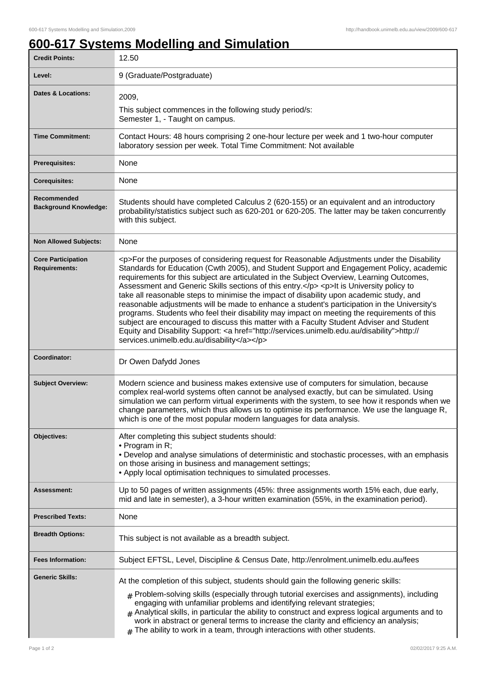## **600-617 Systems Modelling and Simulation**

| <b>Credit Points:</b>                             | 12.50                                                                                                                                                                                                                                                                                                                                                                                                                                                                                                                                                                                                                                                                                                                                                                                                                                                                                                                        |
|---------------------------------------------------|------------------------------------------------------------------------------------------------------------------------------------------------------------------------------------------------------------------------------------------------------------------------------------------------------------------------------------------------------------------------------------------------------------------------------------------------------------------------------------------------------------------------------------------------------------------------------------------------------------------------------------------------------------------------------------------------------------------------------------------------------------------------------------------------------------------------------------------------------------------------------------------------------------------------------|
| Level:                                            | 9 (Graduate/Postgraduate)                                                                                                                                                                                                                                                                                                                                                                                                                                                                                                                                                                                                                                                                                                                                                                                                                                                                                                    |
| <b>Dates &amp; Locations:</b>                     | 2009,                                                                                                                                                                                                                                                                                                                                                                                                                                                                                                                                                                                                                                                                                                                                                                                                                                                                                                                        |
|                                                   | This subject commences in the following study period/s:<br>Semester 1, - Taught on campus.                                                                                                                                                                                                                                                                                                                                                                                                                                                                                                                                                                                                                                                                                                                                                                                                                                   |
| <b>Time Commitment:</b>                           | Contact Hours: 48 hours comprising 2 one-hour lecture per week and 1 two-hour computer<br>laboratory session per week. Total Time Commitment: Not available                                                                                                                                                                                                                                                                                                                                                                                                                                                                                                                                                                                                                                                                                                                                                                  |
| <b>Prerequisites:</b>                             | None                                                                                                                                                                                                                                                                                                                                                                                                                                                                                                                                                                                                                                                                                                                                                                                                                                                                                                                         |
| <b>Corequisites:</b>                              | None                                                                                                                                                                                                                                                                                                                                                                                                                                                                                                                                                                                                                                                                                                                                                                                                                                                                                                                         |
| Recommended<br><b>Background Knowledge:</b>       | Students should have completed Calculus 2 (620-155) or an equivalent and an introductory<br>probability/statistics subject such as 620-201 or 620-205. The latter may be taken concurrently<br>with this subject.                                                                                                                                                                                                                                                                                                                                                                                                                                                                                                                                                                                                                                                                                                            |
| <b>Non Allowed Subjects:</b>                      | None                                                                                                                                                                                                                                                                                                                                                                                                                                                                                                                                                                                                                                                                                                                                                                                                                                                                                                                         |
| <b>Core Participation</b><br><b>Requirements:</b> | <p>For the purposes of considering request for Reasonable Adjustments under the Disability<br/>Standards for Education (Cwth 2005), and Student Support and Engagement Policy, academic<br/>requirements for this subject are articulated in the Subject Overview, Learning Outcomes,<br/>Assessment and Generic Skills sections of this entry.</p> <p>It is University policy to<br/>take all reasonable steps to minimise the impact of disability upon academic study, and<br/>reasonable adjustments will be made to enhance a student's participation in the University's<br/>programs. Students who feel their disability may impact on meeting the requirements of this<br/>subject are encouraged to discuss this matter with a Faculty Student Adviser and Student<br/>Equity and Disability Support: &lt; a href="http://services.unimelb.edu.au/disability"&gt;http://<br/>services.unimelb.edu.au/disability</p> |
| Coordinator:                                      | Dr Owen Dafydd Jones                                                                                                                                                                                                                                                                                                                                                                                                                                                                                                                                                                                                                                                                                                                                                                                                                                                                                                         |
| <b>Subject Overview:</b>                          | Modern science and business makes extensive use of computers for simulation, because<br>complex real-world systems often cannot be analysed exactly, but can be simulated. Using<br>simulation we can perform virtual experiments with the system, to see how it responds when we<br>change parameters, which thus allows us to optimise its performance. We use the language R,<br>which is one of the most popular modern languages for data analysis.                                                                                                                                                                                                                                                                                                                                                                                                                                                                     |
| Objectives:                                       | After completing this subject students should:                                                                                                                                                                                                                                                                                                                                                                                                                                                                                                                                                                                                                                                                                                                                                                                                                                                                               |
|                                                   | • Program in R;<br>• Develop and analyse simulations of deterministic and stochastic processes, with an emphasis<br>on those arising in business and management settings;<br>• Apply local optimisation techniques to simulated processes.                                                                                                                                                                                                                                                                                                                                                                                                                                                                                                                                                                                                                                                                                   |
| Assessment:                                       | Up to 50 pages of written assignments (45%: three assignments worth 15% each, due early,<br>mid and late in semester), a 3-hour written examination (55%, in the examination period).                                                                                                                                                                                                                                                                                                                                                                                                                                                                                                                                                                                                                                                                                                                                        |
| <b>Prescribed Texts:</b>                          | None                                                                                                                                                                                                                                                                                                                                                                                                                                                                                                                                                                                                                                                                                                                                                                                                                                                                                                                         |
| <b>Breadth Options:</b>                           | This subject is not available as a breadth subject.                                                                                                                                                                                                                                                                                                                                                                                                                                                                                                                                                                                                                                                                                                                                                                                                                                                                          |
| <b>Fees Information:</b>                          | Subject EFTSL, Level, Discipline & Census Date, http://enrolment.unimelb.edu.au/fees                                                                                                                                                                                                                                                                                                                                                                                                                                                                                                                                                                                                                                                                                                                                                                                                                                         |
| <b>Generic Skills:</b>                            | At the completion of this subject, students should gain the following generic skills:<br>$_{\#}$ Problem-solving skills (especially through tutorial exercises and assignments), including<br>engaging with unfamiliar problems and identifying relevant strategies;<br>$#$ Analytical skills, in particular the ability to construct and express logical arguments and to<br>work in abstract or general terms to increase the clarity and efficiency an analysis;<br>The ability to work in a team, through interactions with other students.                                                                                                                                                                                                                                                                                                                                                                              |